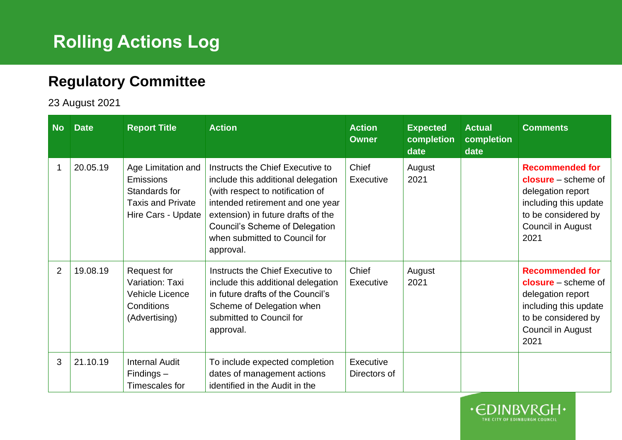## **Rolling Actions Log**

## **Regulatory Committee**

23 August 2021

| <b>No</b>      | <b>Date</b> | <b>Report Title</b>                                                                                | <b>Action</b>                                                                                                                                                                                                                                                        | <b>Action</b><br><b>Owner</b> | <b>Expected</b><br>completion<br>date | <b>Actual</b><br>completion<br>date | <b>Comments</b>                                                                                                                                   |
|----------------|-------------|----------------------------------------------------------------------------------------------------|----------------------------------------------------------------------------------------------------------------------------------------------------------------------------------------------------------------------------------------------------------------------|-------------------------------|---------------------------------------|-------------------------------------|---------------------------------------------------------------------------------------------------------------------------------------------------|
| 1              | 20.05.19    | Age Limitation and<br>Emissions<br>Standards for<br><b>Taxis and Private</b><br>Hire Cars - Update | Instructs the Chief Executive to<br>include this additional delegation<br>(with respect to notification of<br>intended retirement and one year<br>extension) in future drafts of the<br>Council's Scheme of Delegation<br>when submitted to Council for<br>approval. | Chief<br>Executive            | August<br>2021                        |                                     | <b>Recommended for</b><br>$closure - scheme of$<br>delegation report<br>including this update<br>to be considered by<br>Council in August<br>2021 |
| $\overline{2}$ | 19.08.19    | Request for<br>Variation: Taxi<br><b>Vehicle Licence</b><br>Conditions<br>(Advertising)            | Instructs the Chief Executive to<br>include this additional delegation<br>in future drafts of the Council's<br>Scheme of Delegation when<br>submitted to Council for<br>approval.                                                                                    | Chief<br>Executive            | August<br>2021                        |                                     | <b>Recommended for</b><br>$closure - scheme of$<br>delegation report<br>including this update<br>to be considered by<br>Council in August<br>2021 |
| 3              | 21.10.19    | <b>Internal Audit</b><br>$Findings -$<br>Timescales for                                            | To include expected completion<br>dates of management actions<br>identified in the Audit in the                                                                                                                                                                      | Executive<br>Directors of     |                                       |                                     |                                                                                                                                                   |

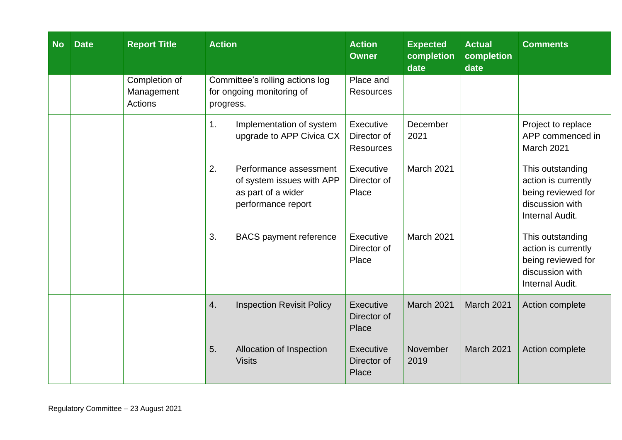| <b>No</b> | <b>Date</b> | <b>Report Title</b>                           | <b>Action</b>                                                                                         | <b>Action</b><br><b>Owner</b>                | <b>Expected</b><br>completion<br>date | <b>Actual</b><br>completion<br>date | <b>Comments</b>                                                                                     |
|-----------|-------------|-----------------------------------------------|-------------------------------------------------------------------------------------------------------|----------------------------------------------|---------------------------------------|-------------------------------------|-----------------------------------------------------------------------------------------------------|
|           |             | Completion of<br>Management<br><b>Actions</b> | Committee's rolling actions log<br>for ongoing monitoring of<br>progress.                             | Place and<br><b>Resources</b>                |                                       |                                     |                                                                                                     |
|           |             |                                               | Implementation of system<br>1.<br>upgrade to APP Civica CX                                            | Executive<br>Director of<br><b>Resources</b> | December<br>2021                      |                                     | Project to replace<br>APP commenced in<br>March 2021                                                |
|           |             |                                               | 2.<br>Performance assessment<br>of system issues with APP<br>as part of a wider<br>performance report | Executive<br>Director of<br>Place            | March 2021                            |                                     | This outstanding<br>action is currently<br>being reviewed for<br>discussion with<br>Internal Audit. |
|           |             |                                               | 3.<br><b>BACS</b> payment reference                                                                   | Executive<br>Director of<br>Place            | March 2021                            |                                     | This outstanding<br>action is currently<br>being reviewed for<br>discussion with<br>Internal Audit. |
|           |             |                                               | 4.<br><b>Inspection Revisit Policy</b>                                                                | Executive<br>Director of<br>Place            | March 2021                            | <b>March 2021</b>                   | Action complete                                                                                     |
|           |             |                                               | 5.<br>Allocation of Inspection<br><b>Visits</b>                                                       | Executive<br>Director of<br>Place            | November<br>2019                      | <b>March 2021</b>                   | Action complete                                                                                     |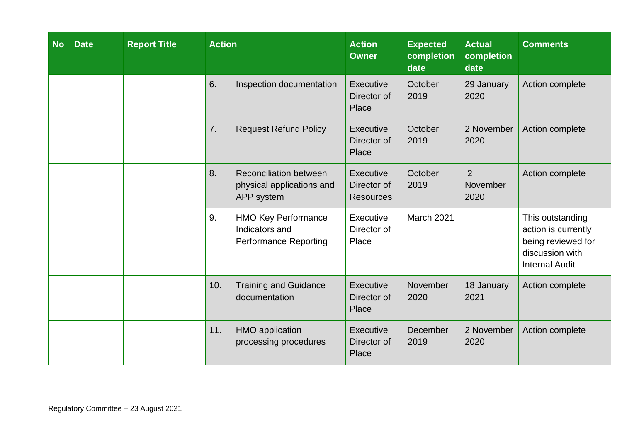| <b>No</b> | <b>Date</b> | <b>Report Title</b> | <b>Action</b> |                                                                              | <b>Action</b><br><b>Owner</b>                | <b>Expected</b><br>completion<br>date | <b>Actual</b><br>completion<br>date | <b>Comments</b>                                                                                     |
|-----------|-------------|---------------------|---------------|------------------------------------------------------------------------------|----------------------------------------------|---------------------------------------|-------------------------------------|-----------------------------------------------------------------------------------------------------|
|           |             |                     | 6.            | Inspection documentation                                                     | Executive<br>Director of<br>Place            | October<br>2019                       | 29 January<br>2020                  | Action complete                                                                                     |
|           |             |                     | 7.            | <b>Request Refund Policy</b>                                                 | <b>Executive</b><br>Director of<br>Place     | October<br>2019                       | 2 November<br>2020                  | Action complete                                                                                     |
|           |             |                     | 8.            | <b>Reconciliation between</b><br>physical applications and<br>APP system     | Executive<br>Director of<br><b>Resources</b> | October<br>2019                       | $\overline{2}$<br>November<br>2020  | Action complete                                                                                     |
|           |             |                     | 9.            | <b>HMO Key Performance</b><br>Indicators and<br><b>Performance Reporting</b> | Executive<br>Director of<br>Place            | March 2021                            |                                     | This outstanding<br>action is currently<br>being reviewed for<br>discussion with<br>Internal Audit. |
|           |             |                     | 10.           | <b>Training and Guidance</b><br>documentation                                | Executive<br>Director of<br>Place            | November<br>2020                      | 18 January<br>2021                  | Action complete                                                                                     |
|           |             |                     | 11.           | HMO application<br>processing procedures                                     | Executive<br>Director of<br>Place            | December<br>2019                      | 2 November<br>2020                  | Action complete                                                                                     |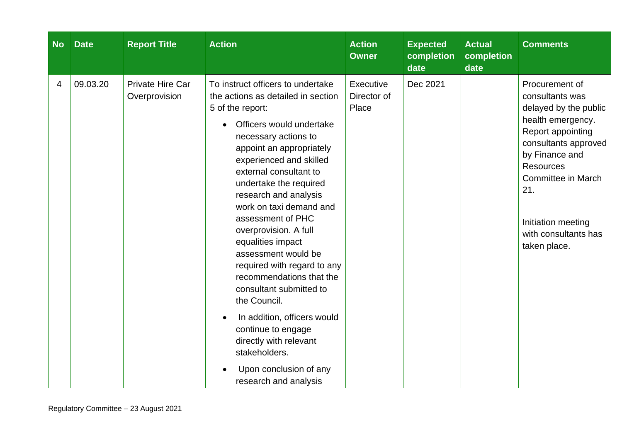| <b>No</b> | <b>Date</b> | <b>Report Title</b>               | <b>Action</b>                                                                                                                                                                                                                                                                                                                                                                                                                                                                                                                                                                                                                                                                  | <b>Action</b><br><b>Owner</b>     | <b>Expected</b><br>completion<br>date | <b>Actual</b><br>completion<br>date | <b>Comments</b>                                                                                                                                                                                                                                               |
|-----------|-------------|-----------------------------------|--------------------------------------------------------------------------------------------------------------------------------------------------------------------------------------------------------------------------------------------------------------------------------------------------------------------------------------------------------------------------------------------------------------------------------------------------------------------------------------------------------------------------------------------------------------------------------------------------------------------------------------------------------------------------------|-----------------------------------|---------------------------------------|-------------------------------------|---------------------------------------------------------------------------------------------------------------------------------------------------------------------------------------------------------------------------------------------------------------|
| 4         | 09.03.20    | Private Hire Car<br>Overprovision | To instruct officers to undertake<br>the actions as detailed in section<br>5 of the report:<br>Officers would undertake<br>necessary actions to<br>appoint an appropriately<br>experienced and skilled<br>external consultant to<br>undertake the required<br>research and analysis<br>work on taxi demand and<br>assessment of PHC<br>overprovision. A full<br>equalities impact<br>assessment would be<br>required with regard to any<br>recommendations that the<br>consultant submitted to<br>the Council.<br>In addition, officers would<br>continue to engage<br>directly with relevant<br>stakeholders.<br>Upon conclusion of any<br>$\bullet$<br>research and analysis | Executive<br>Director of<br>Place | Dec 2021                              |                                     | Procurement of<br>consultants was<br>delayed by the public<br>health emergency.<br>Report appointing<br>consultants approved<br>by Finance and<br><b>Resources</b><br>Committee in March<br>21.<br>Initiation meeting<br>with consultants has<br>taken place. |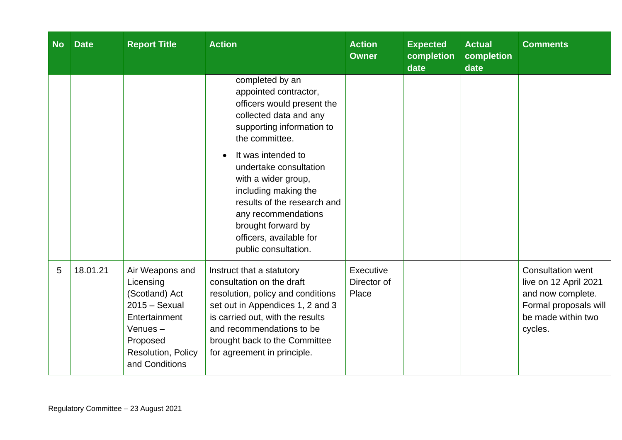| <b>No</b> | <b>Date</b> | <b>Report Title</b>                                                                                                                               | <b>Action</b>                                                                                                                                                                                                                                                                                                                                                                 | <b>Action</b><br><b>Owner</b>     | <b>Expected</b><br>completion<br>date | <b>Actual</b><br>completion<br>date | <b>Comments</b>                                                                                                                  |
|-----------|-------------|---------------------------------------------------------------------------------------------------------------------------------------------------|-------------------------------------------------------------------------------------------------------------------------------------------------------------------------------------------------------------------------------------------------------------------------------------------------------------------------------------------------------------------------------|-----------------------------------|---------------------------------------|-------------------------------------|----------------------------------------------------------------------------------------------------------------------------------|
|           |             |                                                                                                                                                   | completed by an<br>appointed contractor,<br>officers would present the<br>collected data and any<br>supporting information to<br>the committee.<br>It was intended to<br>undertake consultation<br>with a wider group,<br>including making the<br>results of the research and<br>any recommendations<br>brought forward by<br>officers, available for<br>public consultation. |                                   |                                       |                                     |                                                                                                                                  |
| 5         | 18.01.21    | Air Weapons and<br>Licensing<br>(Scotland) Act<br>$2015 -$ Sexual<br>Entertainment<br>Venues-<br>Proposed<br>Resolution, Policy<br>and Conditions | Instruct that a statutory<br>consultation on the draft<br>resolution, policy and conditions<br>set out in Appendices 1, 2 and 3<br>is carried out, with the results<br>and recommendations to be<br>brought back to the Committee<br>for agreement in principle.                                                                                                              | Executive<br>Director of<br>Place |                                       |                                     | <b>Consultation went</b><br>live on 12 April 2021<br>and now complete.<br>Formal proposals will<br>be made within two<br>cycles. |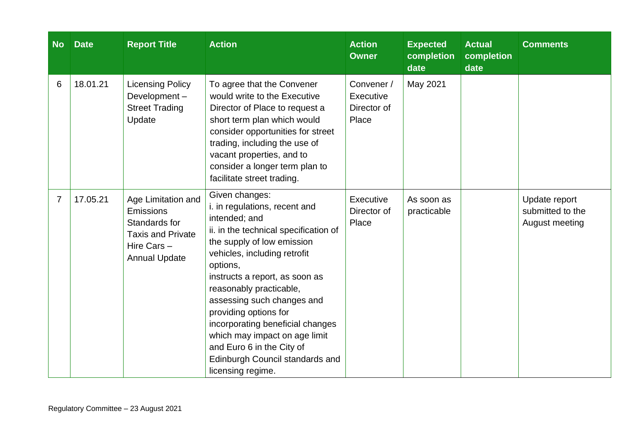| <b>No</b>      | <b>Date</b> | <b>Report Title</b>                                                                                                 | <b>Action</b>                                                                                                                                                                                                                                                                                                                                                                                                                                                     | <b>Action</b><br><b>Owner</b>                   | <b>Expected</b><br>completion<br>date | <b>Actual</b><br>completion<br>date | <b>Comments</b>                                     |
|----------------|-------------|---------------------------------------------------------------------------------------------------------------------|-------------------------------------------------------------------------------------------------------------------------------------------------------------------------------------------------------------------------------------------------------------------------------------------------------------------------------------------------------------------------------------------------------------------------------------------------------------------|-------------------------------------------------|---------------------------------------|-------------------------------------|-----------------------------------------------------|
| 6              | 18.01.21    | <b>Licensing Policy</b><br>Development-<br><b>Street Trading</b><br>Update                                          | To agree that the Convener<br>would write to the Executive<br>Director of Place to request a<br>short term plan which would<br>consider opportunities for street<br>trading, including the use of<br>vacant properties, and to<br>consider a longer term plan to<br>facilitate street trading.                                                                                                                                                                    | Convener /<br>Executive<br>Director of<br>Place | May 2021                              |                                     |                                                     |
| $\overline{7}$ | 17.05.21    | Age Limitation and<br>Emissions<br>Standards for<br><b>Taxis and Private</b><br>Hire Cars -<br><b>Annual Update</b> | Given changes:<br>i. in regulations, recent and<br>intended; and<br>ii. in the technical specification of<br>the supply of low emission<br>vehicles, including retrofit<br>options,<br>instructs a report, as soon as<br>reasonably practicable,<br>assessing such changes and<br>providing options for<br>incorporating beneficial changes<br>which may impact on age limit<br>and Euro 6 in the City of<br>Edinburgh Council standards and<br>licensing regime. | Executive<br>Director of<br>Place               | As soon as<br>practicable             |                                     | Update report<br>submitted to the<br>August meeting |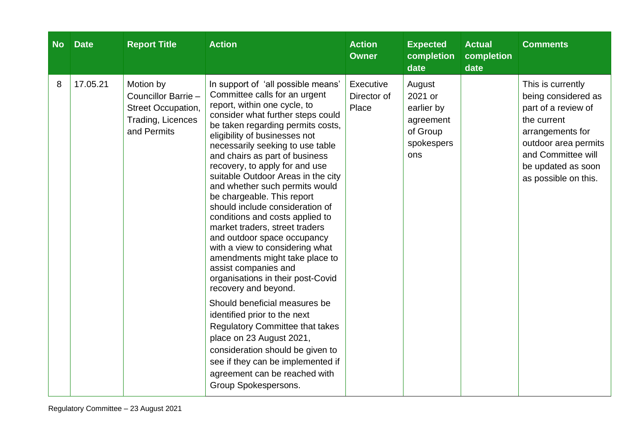| <b>No</b> | <b>Date</b> | <b>Report Title</b>                                                                        | <b>Action</b>                                                                                                                                                                                                                                                                                                                                                                                                                                                                                                                                                                                                                                                                                                                                                                                                                                                                                                                                                                                          | <b>Action</b><br><b>Owner</b>     | <b>Expected</b><br>completion<br>date                                         | <b>Actual</b><br>completion<br>date | <b>Comments</b>                                                                                                                                                                                |
|-----------|-------------|--------------------------------------------------------------------------------------------|--------------------------------------------------------------------------------------------------------------------------------------------------------------------------------------------------------------------------------------------------------------------------------------------------------------------------------------------------------------------------------------------------------------------------------------------------------------------------------------------------------------------------------------------------------------------------------------------------------------------------------------------------------------------------------------------------------------------------------------------------------------------------------------------------------------------------------------------------------------------------------------------------------------------------------------------------------------------------------------------------------|-----------------------------------|-------------------------------------------------------------------------------|-------------------------------------|------------------------------------------------------------------------------------------------------------------------------------------------------------------------------------------------|
| 8         | 17.05.21    | Motion by<br>Councillor Barrie -<br>Street Occupation,<br>Trading, Licences<br>and Permits | In support of 'all possible means'<br>Committee calls for an urgent<br>report, within one cycle, to<br>consider what further steps could<br>be taken regarding permits costs,<br>eligibility of businesses not<br>necessarily seeking to use table<br>and chairs as part of business<br>recovery, to apply for and use<br>suitable Outdoor Areas in the city<br>and whether such permits would<br>be chargeable. This report<br>should include consideration of<br>conditions and costs applied to<br>market traders, street traders<br>and outdoor space occupancy<br>with a view to considering what<br>amendments might take place to<br>assist companies and<br>organisations in their post-Covid<br>recovery and beyond.<br>Should beneficial measures be<br>identified prior to the next<br><b>Regulatory Committee that takes</b><br>place on 23 August 2021,<br>consideration should be given to<br>see if they can be implemented if<br>agreement can be reached with<br>Group Spokespersons. | Executive<br>Director of<br>Place | August<br>2021 or<br>earlier by<br>agreement<br>of Group<br>spokespers<br>ons |                                     | This is currently<br>being considered as<br>part of a review of<br>the current<br>arrangements for<br>outdoor area permits<br>and Committee will<br>be updated as soon<br>as possible on this. |